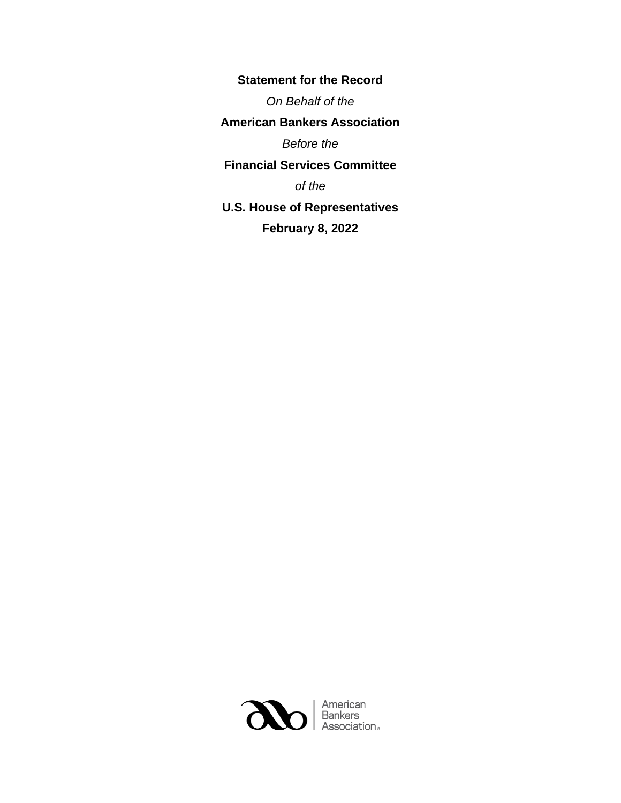**Statement for the Record** *On Behalf of the* **American Bankers Association** *Before the* **Financial Services Committee** *of the* **U.S. House of Representatives February 8, 2022**

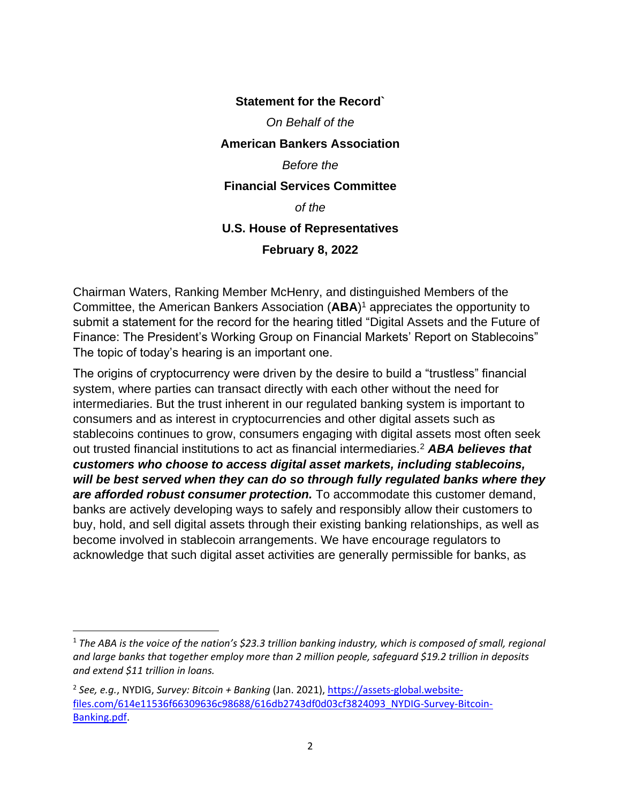## **Statement for the Record`** *On Behalf of the* **American Bankers Association** *Before the* **Financial Services Committee** *of the* **U.S. House of Representatives February 8, 2022**

Chairman Waters, Ranking Member McHenry, and distinguished Members of the Committee, the American Bankers Association (**ABA**) <sup>1</sup> appreciates the opportunity to submit a statement for the record for the hearing titled "Digital Assets and the Future of Finance: The President's Working Group on Financial Markets' Report on Stablecoins" The topic of today's hearing is an important one.

The origins of cryptocurrency were driven by the desire to build a "trustless" financial system, where parties can transact directly with each other without the need for intermediaries. But the trust inherent in our regulated banking system is important to consumers and as interest in cryptocurrencies and other digital assets such as stablecoins continues to grow, consumers engaging with digital assets most often seek out trusted financial institutions to act as financial intermediaries.<sup>2</sup> *ABA believes that customers who choose to access digital asset markets, including stablecoins, will be best served when they can do so through fully regulated banks where they are afforded robust consumer protection.* To accommodate this customer demand, banks are actively developing ways to safely and responsibly allow their customers to buy, hold, and sell digital assets through their existing banking relationships, as well as become involved in stablecoin arrangements. We have encourage regulators to acknowledge that such digital asset activities are generally permissible for banks, as

<sup>&</sup>lt;sup>1</sup> The ABA is the voice of the nation's \$23.3 trillion banking industry, which is composed of small, regional *and large banks that together employ more than 2 million people, safeguard \$19.2 trillion in deposits and extend \$11 trillion in loans.*

<sup>2</sup> *See, e.g.*, NYDIG, *Survey: Bitcoin + Banking* (Jan. 2021), [https://assets-global.website](https://assets-global.website-files.com/614e11536f66309636c98688/616db2743df0d03cf3824093_NYDIG-Survey-Bitcoin-Banking.pdf)[files.com/614e11536f66309636c98688/616db2743df0d03cf3824093\\_NYDIG-Survey-Bitcoin-](https://assets-global.website-files.com/614e11536f66309636c98688/616db2743df0d03cf3824093_NYDIG-Survey-Bitcoin-Banking.pdf)[Banking.pdf.](https://assets-global.website-files.com/614e11536f66309636c98688/616db2743df0d03cf3824093_NYDIG-Survey-Bitcoin-Banking.pdf)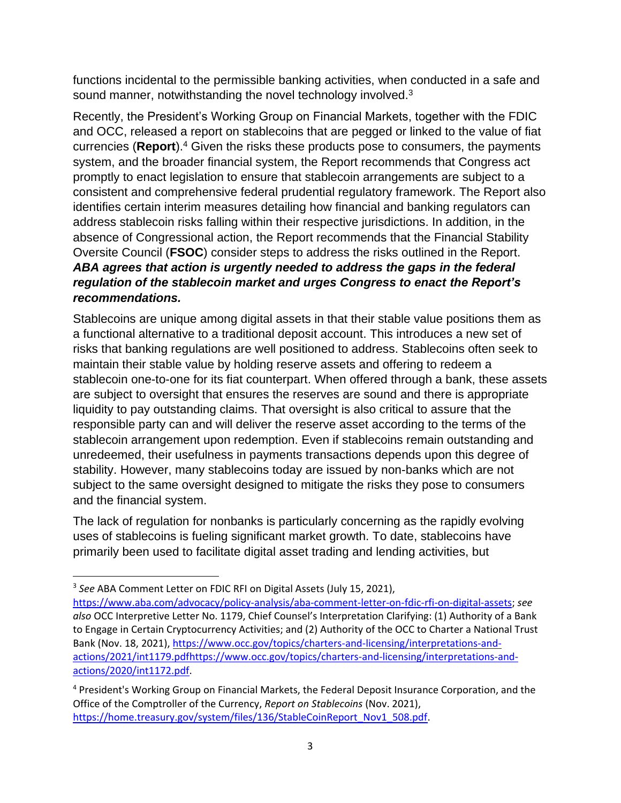functions incidental to the permissible banking activities, when conducted in a safe and sound manner, notwithstanding the novel technology involved. $3$ 

Recently, the President's Working Group on Financial Markets, together with the FDIC and OCC, released a report on stablecoins that are pegged or linked to the value of fiat currencies (Report).<sup>4</sup> Given the risks these products pose to consumers, the payments system, and the broader financial system, the Report recommends that Congress act promptly to enact legislation to ensure that stablecoin arrangements are subject to a consistent and comprehensive federal prudential regulatory framework. The Report also identifies certain interim measures detailing how financial and banking regulators can address stablecoin risks falling within their respective jurisdictions. In addition, in the absence of Congressional action, the Report recommends that the Financial Stability Oversite Council (**FSOC**) consider steps to address the risks outlined in the Report. *ABA agrees that action is urgently needed to address the gaps in the federal regulation of the stablecoin market and urges Congress to enact the Report's recommendations.*

Stablecoins are unique among digital assets in that their stable value positions them as a functional alternative to a traditional deposit account. This introduces a new set of risks that banking regulations are well positioned to address. Stablecoins often seek to maintain their stable value by holding reserve assets and offering to redeem a stablecoin one-to-one for its fiat counterpart. When offered through a bank, these assets are subject to oversight that ensures the reserves are sound and there is appropriate liquidity to pay outstanding claims. That oversight is also critical to assure that the responsible party can and will deliver the reserve asset according to the terms of the stablecoin arrangement upon redemption. Even if stablecoins remain outstanding and unredeemed, their usefulness in payments transactions depends upon this degree of stability. However, many stablecoins today are issued by non-banks which are not subject to the same oversight designed to mitigate the risks they pose to consumers and the financial system.

The lack of regulation for nonbanks is particularly concerning as the rapidly evolving uses of stablecoins is fueling significant market growth. To date, stablecoins have primarily been used to facilitate digital asset trading and lending activities, but

<sup>3</sup> *See* ABA Comment Letter on FDIC RFI on Digital Assets (July 15, 2021),

[https://www.aba.com/advocacy/policy-analysis/aba-comment-letter-on-fdic-rfi-on-digital-assets;](https://www.aba.com/advocacy/policy-analysis/aba-comment-letter-on-fdic-rfi-on-digital-assets) *see also* OCC Interpretive Letter No. 1179, Chief Counsel's Interpretation Clarifying: (1) Authority of a Bank to Engage in Certain Cryptocurrency Activities; and (2) Authority of the OCC to Charter a National Trust Bank (Nov. 18, 2021), [https://www.occ.gov/topics/charters-and-licensing/interpretations-and](https://www.occ.gov/topics/charters-and-licensing/interpretations-and-actions/2021/int1179.pdf)[actions/2021/int1179.pdf](https://www.occ.gov/topics/charters-and-licensing/interpretations-and-actions/2021/int1179.pdf)[https://www.occ.gov/topics/charters-and-licensing/interpretations-and](https://www.occ.gov/topics/charters-and-licensing/interpretations-and-actions/2020/int1172.pdf)[actions/2020/int1172.pdf.](https://www.occ.gov/topics/charters-and-licensing/interpretations-and-actions/2020/int1172.pdf)

<sup>4</sup> President's Working Group on Financial Markets, the Federal Deposit Insurance Corporation, and the Office of the Comptroller of the Currency, *Report on Stablecoins* (Nov. 2021), [https://home.treasury.gov/system/files/136/StableCoinReport\\_Nov1\\_508.pdf.](https://home.treasury.gov/system/files/136/StableCoinReport_Nov1_508.pdf)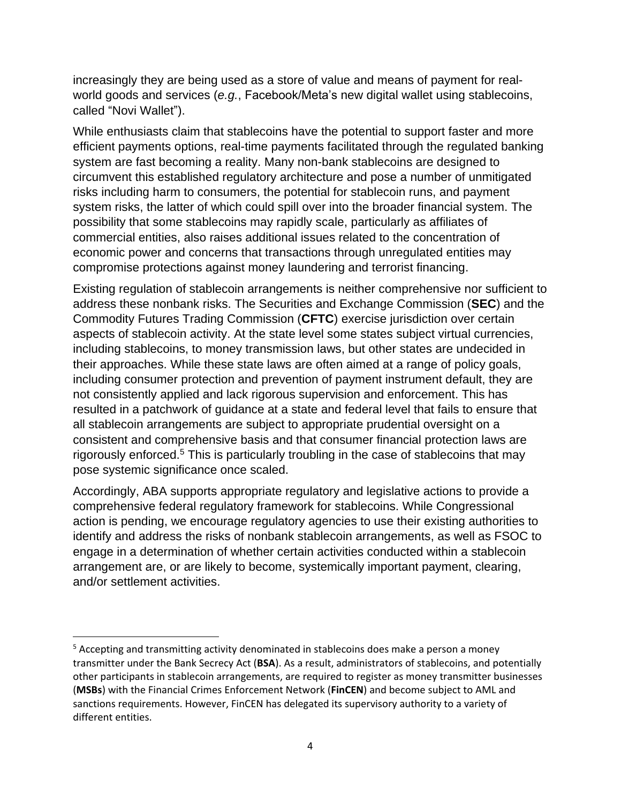increasingly they are being used as a store of value and means of payment for realworld goods and services (*e.g.*, Facebook/Meta's new digital wallet using stablecoins, called "Novi Wallet").

While enthusiasts claim that stablecoins have the potential to support faster and more efficient payments options, real-time payments facilitated through the regulated banking system are fast becoming a reality. Many non-bank stablecoins are designed to circumvent this established regulatory architecture and pose a number of unmitigated risks including harm to consumers, the potential for stablecoin runs, and payment system risks, the latter of which could spill over into the broader financial system. The possibility that some stablecoins may rapidly scale, particularly as affiliates of commercial entities, also raises additional issues related to the concentration of economic power and concerns that transactions through unregulated entities may compromise protections against money laundering and terrorist financing.

Existing regulation of stablecoin arrangements is neither comprehensive nor sufficient to address these nonbank risks. The Securities and Exchange Commission (**SEC**) and the Commodity Futures Trading Commission (**CFTC**) exercise jurisdiction over certain aspects of stablecoin activity. At the state level some states subject virtual currencies, including stablecoins, to money transmission laws, but other states are undecided in their approaches. While these state laws are often aimed at a range of policy goals, including consumer protection and prevention of payment instrument default, they are not consistently applied and lack rigorous supervision and enforcement. This has resulted in a patchwork of guidance at a state and federal level that fails to ensure that all stablecoin arrangements are subject to appropriate prudential oversight on a consistent and comprehensive basis and that consumer financial protection laws are rigorously enforced.<sup>5</sup> This is particularly troubling in the case of stablecoins that may pose systemic significance once scaled.

Accordingly, ABA supports appropriate regulatory and legislative actions to provide a comprehensive federal regulatory framework for stablecoins. While Congressional action is pending, we encourage regulatory agencies to use their existing authorities to identify and address the risks of nonbank stablecoin arrangements, as well as FSOC to engage in a determination of whether certain activities conducted within a stablecoin arrangement are, or are likely to become, systemically important payment, clearing, and/or settlement activities.

<sup>&</sup>lt;sup>5</sup> Accepting and transmitting activity denominated in stablecoins does make a person a money transmitter under the Bank Secrecy Act (**BSA**). As a result, administrators of stablecoins, and potentially other participants in stablecoin arrangements, are required to register as money transmitter businesses (**MSBs**) with the Financial Crimes Enforcement Network (**FinCEN**) and become subject to AML and sanctions requirements. However, FinCEN has delegated its supervisory authority to a variety of different entities.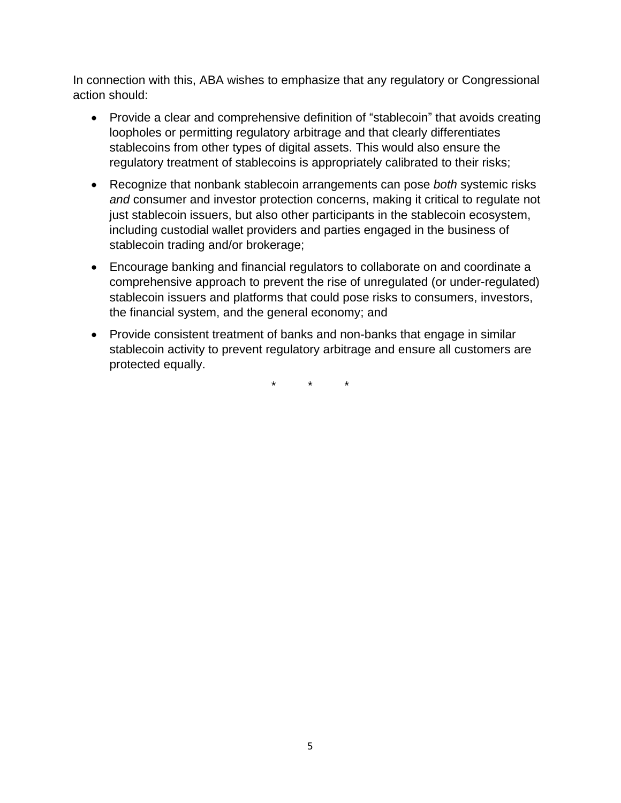In connection with this, ABA wishes to emphasize that any regulatory or Congressional action should:

- Provide a clear and comprehensive definition of "stablecoin" that avoids creating loopholes or permitting regulatory arbitrage and that clearly differentiates stablecoins from other types of digital assets. This would also ensure the regulatory treatment of stablecoins is appropriately calibrated to their risks;
- Recognize that nonbank stablecoin arrangements can pose *both* systemic risks *and* consumer and investor protection concerns, making it critical to regulate not just stablecoin issuers, but also other participants in the stablecoin ecosystem, including custodial wallet providers and parties engaged in the business of stablecoin trading and/or brokerage;
- Encourage banking and financial regulators to collaborate on and coordinate a comprehensive approach to prevent the rise of unregulated (or under-regulated) stablecoin issuers and platforms that could pose risks to consumers, investors, the financial system, and the general economy; and
- Provide consistent treatment of banks and non-banks that engage in similar stablecoin activity to prevent regulatory arbitrage and ensure all customers are protected equally.

\* \* \*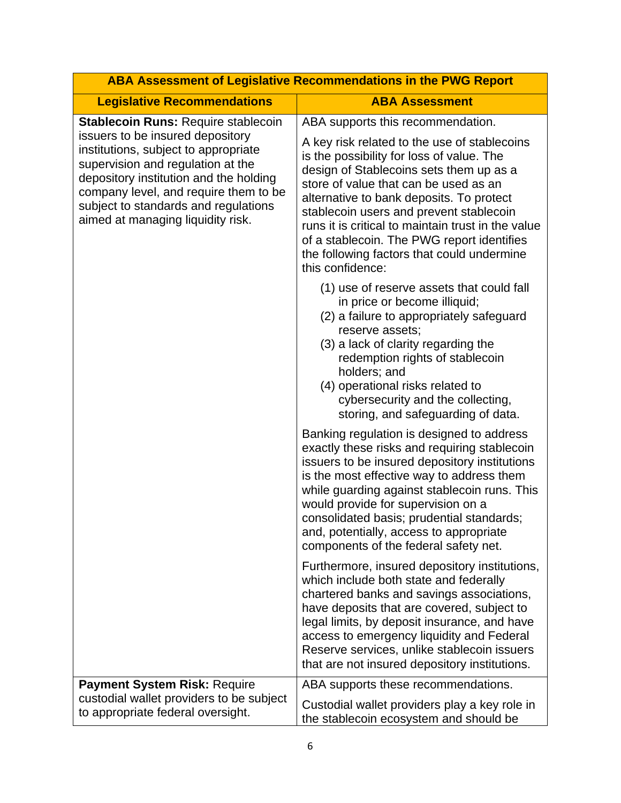| ABA Assessment of Legislative Recommendations in the PWG Report                                                                                                                                                                                                               |                                                                                                                                                                                                                                                                                                                                                                                                                                            |
|-------------------------------------------------------------------------------------------------------------------------------------------------------------------------------------------------------------------------------------------------------------------------------|--------------------------------------------------------------------------------------------------------------------------------------------------------------------------------------------------------------------------------------------------------------------------------------------------------------------------------------------------------------------------------------------------------------------------------------------|
| <b>Legislative Recommendations</b>                                                                                                                                                                                                                                            | <b>ABA Assessment</b>                                                                                                                                                                                                                                                                                                                                                                                                                      |
| <b>Stablecoin Runs: Require stablecoin</b>                                                                                                                                                                                                                                    | ABA supports this recommendation.                                                                                                                                                                                                                                                                                                                                                                                                          |
| issuers to be insured depository<br>institutions, subject to appropriate<br>supervision and regulation at the<br>depository institution and the holding<br>company level, and require them to be<br>subject to standards and regulations<br>aimed at managing liquidity risk. | A key risk related to the use of stablecoins<br>is the possibility for loss of value. The<br>design of Stablecoins sets them up as a<br>store of value that can be used as an<br>alternative to bank deposits. To protect<br>stablecoin users and prevent stablecoin<br>runs it is critical to maintain trust in the value<br>of a stablecoin. The PWG report identifies<br>the following factors that could undermine<br>this confidence: |
|                                                                                                                                                                                                                                                                               | (1) use of reserve assets that could fall<br>in price or become illiquid;<br>(2) a failure to appropriately safeguard<br>reserve assets;<br>(3) a lack of clarity regarding the<br>redemption rights of stablecoin<br>holders; and<br>(4) operational risks related to<br>cybersecurity and the collecting,<br>storing, and safeguarding of data.                                                                                          |
|                                                                                                                                                                                                                                                                               | Banking regulation is designed to address<br>exactly these risks and requiring stablecoin<br>issuers to be insured depository institutions<br>is the most effective way to address them<br>while guarding against stablecoin runs. This<br>would provide for supervision on a<br>consolidated basis; prudential standards;<br>and, potentially, access to appropriate<br>components of the federal safety net.                             |
|                                                                                                                                                                                                                                                                               | Furthermore, insured depository institutions,<br>which include both state and federally<br>chartered banks and savings associations,<br>have deposits that are covered, subject to<br>legal limits, by deposit insurance, and have<br>access to emergency liquidity and Federal<br>Reserve services, unlike stablecoin issuers<br>that are not insured depository institutions.                                                            |
| Payment System Risk: Require<br>custodial wallet providers to be subject                                                                                                                                                                                                      | ABA supports these recommendations.                                                                                                                                                                                                                                                                                                                                                                                                        |
| to appropriate federal oversight.                                                                                                                                                                                                                                             | Custodial wallet providers play a key role in<br>the stablecoin ecosystem and should be                                                                                                                                                                                                                                                                                                                                                    |